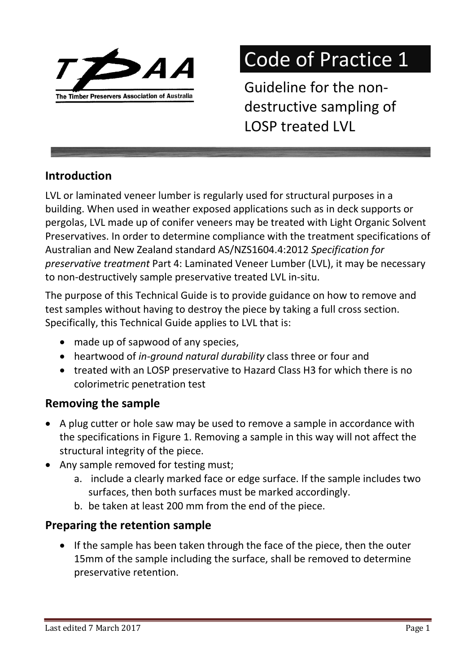

# Code of Practice 1

Guideline for the nondestructive sampling of LOSP treated LVL

# Introduction

LVL or laminated veneer lumber is regularly used for structural purposes in a building. When used in weather exposed applications such as in deck supports or pergolas, LVL made up of conifer veneers may be treated with Light Organic Solvent Preservatives. In order to determine compliance with the treatment specifications of Australian and New Zealand standard AS/NZS1604.4:2012 Specification for preservative treatment Part 4: Laminated Veneer Lumber (LVL), it may be necessary to non-destructively sample preservative treated LVL in-situ.

The purpose of this Technical Guide is to provide guidance on how to remove and test samples without having to destroy the piece by taking a full cross section. Specifically, this Technical Guide applies to LVL that is:

- made up of sapwood of any species,
- heartwood of in-ground natural durability class three or four and
- treated with an LOSP preservative to Hazard Class H3 for which there is no colorimetric penetration test

# Removing the sample

- A plug cutter or hole saw may be used to remove a sample in accordance with the specifications in Figure 1. Removing a sample in this way will not affect the structural integrity of the piece.
- Any sample removed for testing must;
	- a. include a clearly marked face or edge surface. If the sample includes two surfaces, then both surfaces must be marked accordingly.
	- b. be taken at least 200 mm from the end of the piece.

# Preparing the retention sample

 If the sample has been taken through the face of the piece, then the outer 15mm of the sample including the surface, shall be removed to determine preservative retention.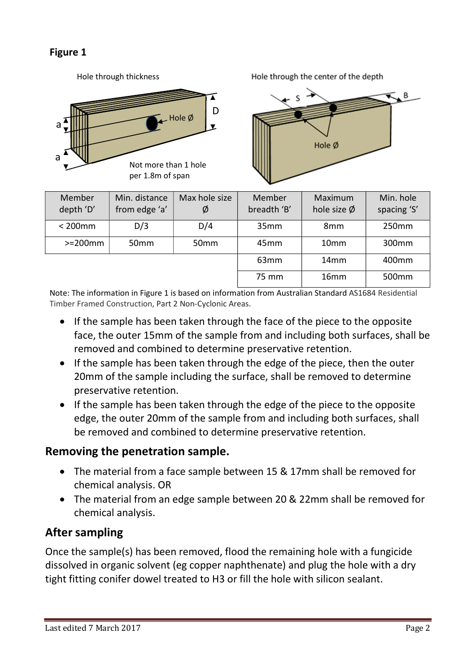#### Figure 1



Hole through thickness **Hole through the center of the depth** 



| Member<br>depth 'D' | Min. distance<br>from edge 'a' | Max hole size<br>Ø | Member<br>breadth 'B' | Maximum<br>hole size $\emptyset$ | Min. hole<br>spacing 'S' |
|---------------------|--------------------------------|--------------------|-----------------------|----------------------------------|--------------------------|
| $200mm$             | D/3                            | D/4                | 35mm                  | 8mm                              | 250mm                    |
| $>=$ 200 $mm$       | 50 <sub>mm</sub>               | 50 <sub>mm</sub>   | 45 <sub>mm</sub>      | 10 <sub>mm</sub>                 | 300 <sub>mm</sub>        |
|                     |                                |                    | 63mm                  | 14 <sub>mm</sub>                 | 400mm                    |
|                     |                                |                    | 75 mm                 | 16 <sub>mm</sub>                 | 500mm                    |

Note: The information in Figure 1 is based on information from Australian Standard AS1684 Residential Timber Framed Construction, Part 2 Non-Cyclonic Areas.

- If the sample has been taken through the face of the piece to the opposite face, the outer 15mm of the sample from and including both surfaces, shall be removed and combined to determine preservative retention.
- If the sample has been taken through the edge of the piece, then the outer 20mm of the sample including the surface, shall be removed to determine preservative retention.
- If the sample has been taken through the edge of the piece to the opposite edge, the outer 20mm of the sample from and including both surfaces, shall be removed and combined to determine preservative retention.

## Removing the penetration sample.

- The material from a face sample between 15 & 17mm shall be removed for chemical analysis. OR
- The material from an edge sample between 20 & 22mm shall be removed for chemical analysis.

## After sampling

Once the sample(s) has been removed, flood the remaining hole with a fungicide dissolved in organic solvent (eg copper naphthenate) and plug the hole with a dry tight fitting conifer dowel treated to H3 or fill the hole with silicon sealant.